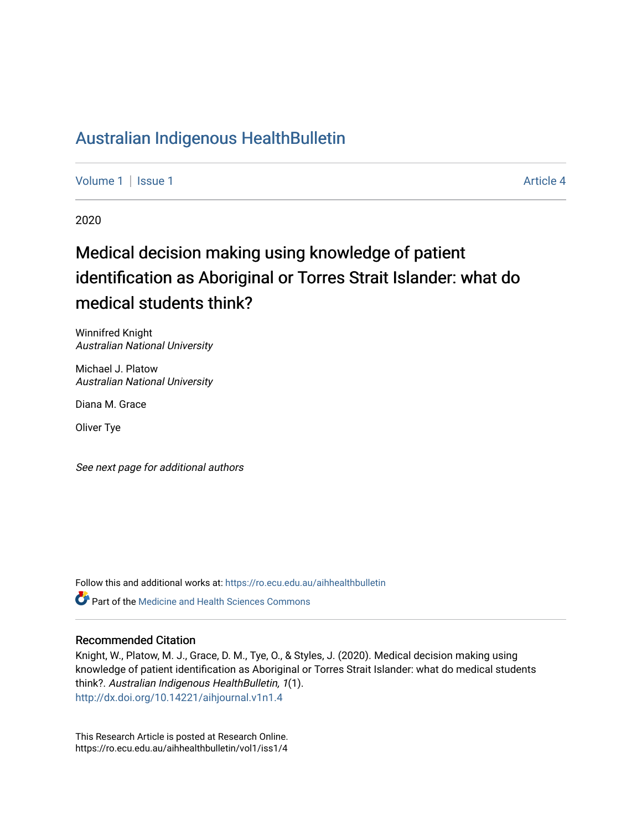# [Australian Indigenous HealthBulletin](https://ro.ecu.edu.au/aihhealthbulletin)

[Volume 1](https://ro.ecu.edu.au/aihhealthbulletin/vol1) | [Issue 1](https://ro.ecu.edu.au/aihhealthbulletin/vol1/iss1) Article 4

2020

# Medical decision making using knowledge of patient identification as Aboriginal or Torres Strait Islander: what do medical students think?

Winnifred Knight Australian National University

Michael J. Platow Australian National University

Diana M. Grace

Oliver Tye

See next page for additional authors

Follow this and additional works at: [https://ro.ecu.edu.au/aihhealthbulletin](https://ro.ecu.edu.au/aihhealthbulletin?utm_source=ro.ecu.edu.au%2Faihhealthbulletin%2Fvol1%2Fiss1%2F4&utm_medium=PDF&utm_campaign=PDFCoverPages) 

**Part of the [Medicine and Health Sciences Commons](https://network.bepress.com/hgg/discipline/648?utm_source=ro.ecu.edu.au%2Faihhealthbulletin%2Fvol1%2Fiss1%2F4&utm_medium=PDF&utm_campaign=PDFCoverPages)** 

#### Recommended Citation

Knight, W., Platow, M. J., Grace, D. M., Tye, O., & Styles, J. (2020). Medical decision making using knowledge of patient identification as Aboriginal or Torres Strait Islander: what do medical students think?. Australian Indigenous HealthBulletin, 1(1). <http://dx.doi.org/10.14221/aihjournal.v1n1.4>

This Research Article is posted at Research Online. https://ro.ecu.edu.au/aihhealthbulletin/vol1/iss1/4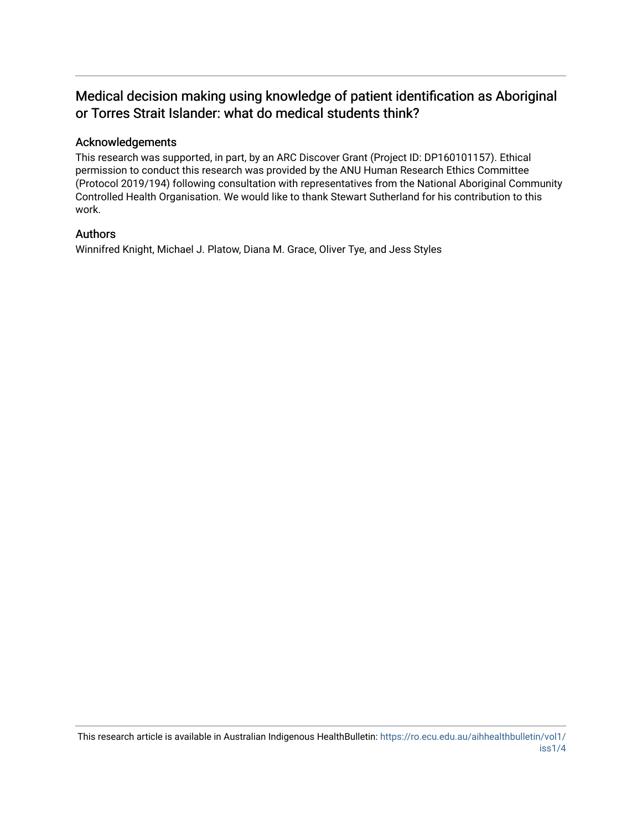# Medical decision making using knowledge of patient identification as Aboriginal or Torres Strait Islander: what do medical students think?

#### Acknowledgements

This research was supported, in part, by an ARC Discover Grant (Project ID: DP160101157). Ethical permission to conduct this research was provided by the ANU Human Research Ethics Committee (Protocol 2019/194) following consultation with representatives from the National Aboriginal Community Controlled Health Organisation. We would like to thank Stewart Sutherland for his contribution to this work.

#### Authors

Winnifred Knight, Michael J. Platow, Diana M. Grace, Oliver Tye, and Jess Styles

This research article is available in Australian Indigenous HealthBulletin: [https://ro.ecu.edu.au/aihhealthbulletin/vol1/](https://ro.ecu.edu.au/aihhealthbulletin/vol1/iss1/4) [iss1/4](https://ro.ecu.edu.au/aihhealthbulletin/vol1/iss1/4)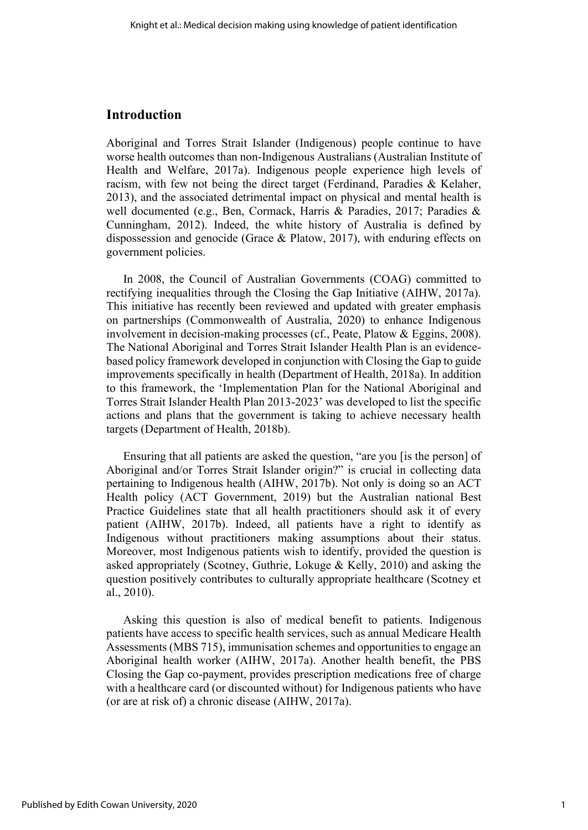#### **Introduction**

Aboriginal and Torres Strait Islander (Indigenous) people continue to have worse health outcomes than non-Indigenous Australians (Australian Institute of Health and Welfare, 2017a). Indigenous people experience high levels of racism, with few not being the direct target (Ferdinand, Paradies & Kelaher, 2013), and the associated detrimental impact on physical and mental health is well documented (e.g., Ben, Cormack, Harris & Paradies, 2017; Paradies & Cunningham, 2012). Indeed, the white history of Australia is defined by dispossession and genocide (Grace & Platow, 2017), with enduring effects on government policies.

In 2008, the Council of Australian Governments (COAG) committed to rectifying inequalities through the Closing the Gap Initiative (AIHW, 2017a). This initiative has recently been reviewed and updated with greater emphasis on partnerships (Commonwealth of Australia, 2020) to enhance Indigenous involvement in decision-making processes (cf., Peate, Platow & Eggins, 2008). The National Aboriginal and Torres Strait Islander Health Plan is an evidencebased policy framework developed in conjunction with Closing the Gap to guide improvements specifically in health (Department of Health, 2018a). In addition to this framework, the 'Implementation Plan for the National Aboriginal and Torres Strait Islander Health Plan 2013-2023' was developed to list the specific actions and plans that the government is taking to achieve necessary health targets (Department of Health, 2018b).

Ensuring that all patients are asked the question, "are you [is the person] of Aboriginal and/or Torres Strait Islander origin?" is crucial in collecting data pertaining to Indigenous health (AIHW, 2017b). Not only is doing so an ACT Health policy (ACT Government, 2019) but the Australian national Best Practice Guidelines state that all health practitioners should ask it of every patient (AIHW, 2017b). Indeed, all patients have a right to identify as Indigenous without practitioners making assumptions about their status. Moreover, most Indigenous patients wish to identify, provided the question is asked appropriately (Scotney, Guthrie, Lokuge & Kelly, 2010) and asking the question positively contributes to culturally appropriate healthcare (Scotney et al., 2010).

Asking this question is also of medical benefit to patients. Indigenous patients have access to specific health services, such as annual Medicare Health Assessments (MBS 715), immunisation schemes and opportunities to engage an Aboriginal health worker (AIHW, 2017a). Another health benefit, the PBS Closing the Gap co-payment, provides prescription medications free of charge with a healthcare card (or discounted without) for Indigenous patients who have (or are at risk of) a chronic disease (AIHW, 2017a).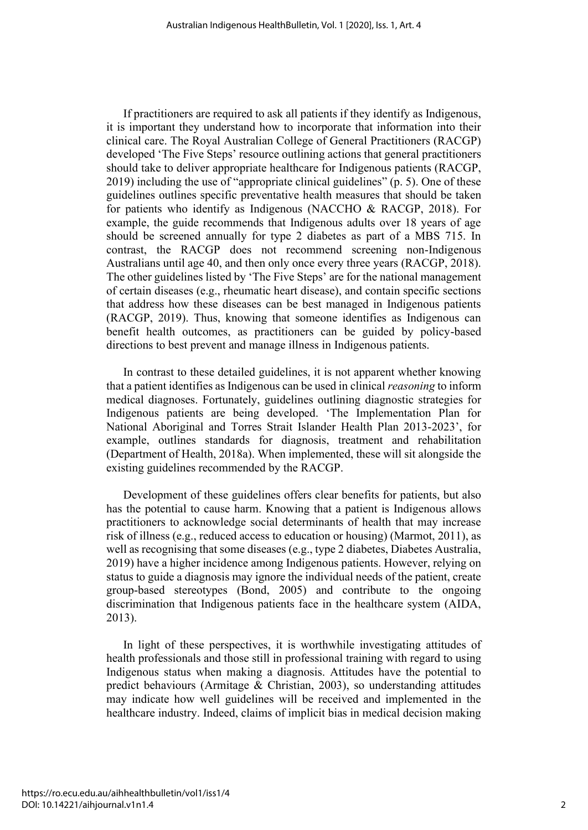If practitioners are required to ask all patients if they identify as Indigenous, it is important they understand how to incorporate that information into their clinical care. The Royal Australian College of General Practitioners (RACGP) developed 'The Five Steps' resource outlining actions that general practitioners should take to deliver appropriate healthcare for Indigenous patients (RACGP, 2019) including the use of "appropriate clinical guidelines" (p. 5). One of these guidelines outlines specific preventative health measures that should be taken for patients who identify as Indigenous (NACCHO & RACGP, 2018). For example, the guide recommends that Indigenous adults over 18 years of age should be screened annually for type 2 diabetes as part of a MBS 715. In contrast, the RACGP does not recommend screening non-Indigenous Australians until age 40, and then only once every three years (RACGP, 2018). The other guidelines listed by 'The Five Steps' are for the national management of certain diseases (e.g., rheumatic heart disease), and contain specific sections that address how these diseases can be best managed in Indigenous patients (RACGP, 2019). Thus, knowing that someone identifies as Indigenous can benefit health outcomes, as practitioners can be guided by policy-based directions to best prevent and manage illness in Indigenous patients.

In contrast to these detailed guidelines, it is not apparent whether knowing that a patient identifies as Indigenous can be used in clinical *reasoning* to inform medical diagnoses. Fortunately, guidelines outlining diagnostic strategies for Indigenous patients are being developed. 'The Implementation Plan for National Aboriginal and Torres Strait Islander Health Plan 2013-2023', for example, outlines standards for diagnosis, treatment and rehabilitation (Department of Health, 2018a). When implemented, these will sit alongside the existing guidelines recommended by the RACGP.

Development of these guidelines offers clear benefits for patients, but also has the potential to cause harm. Knowing that a patient is Indigenous allows practitioners to acknowledge social determinants of health that may increase risk of illness (e.g., reduced access to education or housing) (Marmot, 2011), as well as recognising that some diseases (e.g., type 2 diabetes, Diabetes Australia, 2019) have a higher incidence among Indigenous patients. However, relying on status to guide a diagnosis may ignore the individual needs of the patient, create group-based stereotypes (Bond, 2005) and contribute to the ongoing discrimination that Indigenous patients face in the healthcare system (AIDA, 2013).

In light of these perspectives, it is worthwhile investigating attitudes of health professionals and those still in professional training with regard to using Indigenous status when making a diagnosis. Attitudes have the potential to predict behaviours (Armitage & Christian, 2003), so understanding attitudes may indicate how well guidelines will be received and implemented in the healthcare industry. Indeed, claims of implicit bias in medical decision making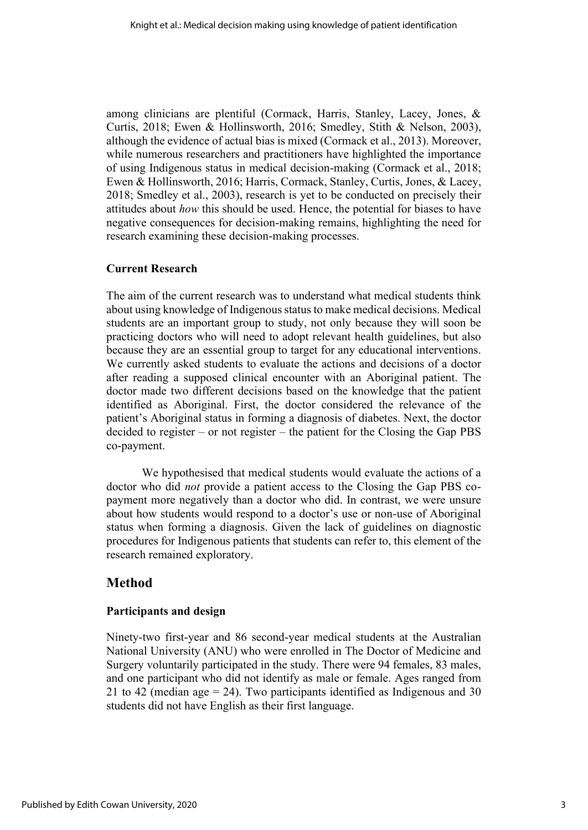among clinicians are plentiful (Cormack, Harris, Stanley, Lacey, Jones, & Curtis, 2018; Ewen & Hollinsworth, 2016; Smedley, Stith & Nelson, 2003), although the evidence of actual bias is mixed (Cormack et al., 2013). Moreover, while numerous researchers and practitioners have highlighted the importance of using Indigenous status in medical decision-making (Cormack et al., 2018; Ewen & Hollinsworth, 2016; Harris, Cormack, Stanley, Curtis, Jones, & Lacey, 2018; Smedley et al., 2003), research is yet to be conducted on precisely their attitudes about *how* this should be used. Hence, the potential for biases to have negative consequences for decision-making remains, highlighting the need for research examining these decision-making processes.

#### **Current Research**

The aim of the current research was to understand what medical students think about using knowledge of Indigenous status to make medical decisions. Medical students are an important group to study, not only because they will soon be practicing doctors who will need to adopt relevant health guidelines, but also because they are an essential group to target for any educational interventions. We currently asked students to evaluate the actions and decisions of a doctor after reading a supposed clinical encounter with an Aboriginal patient. The doctor made two different decisions based on the knowledge that the patient identified as Aboriginal. First, the doctor considered the relevance of the patient's Aboriginal status in forming a diagnosis of diabetes. Next, the doctor decided to register – or not register – the patient for the Closing the Gap PBS co-payment.

We hypothesised that medical students would evaluate the actions of a doctor who did *not* provide a patient access to the Closing the Gap PBS copayment more negatively than a doctor who did. In contrast, we were unsure about how students would respond to a doctor's use or non-use of Aboriginal status when forming a diagnosis. Given the lack of guidelines on diagnostic procedures for Indigenous patients that students can refer to, this element of the research remained exploratory.

## **Method**

#### **Participants and design**

Ninety-two first-year and 86 second-year medical students at the Australian National University (ANU) who were enrolled in The Doctor of Medicine and Surgery voluntarily participated in the study. There were 94 females, 83 males, and one participant who did not identify as male or female. Ages ranged from 21 to 42 (median age = 24). Two participants identified as Indigenous and 30 students did not have English as their first language.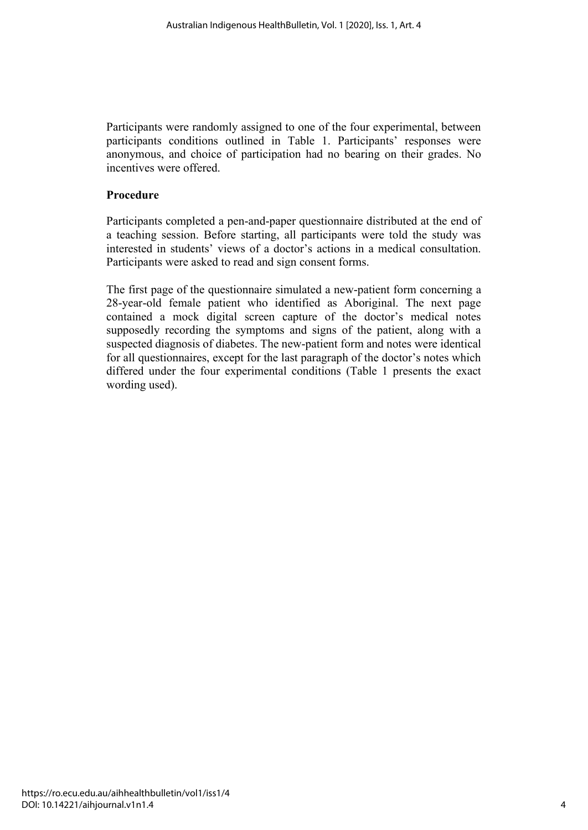Participants were randomly assigned to one of the four experimental, between participants conditions outlined in Table 1. Participants' responses were anonymous, and choice of participation had no bearing on their grades. No incentives were offered.

#### **Procedure**

Participants completed a pen-and-paper questionnaire distributed at the end of a teaching session. Before starting, all participants were told the study was interested in students' views of a doctor's actions in a medical consultation. Participants were asked to read and sign consent forms.

The first page of the questionnaire simulated a new-patient form concerning a 28-year-old female patient who identified as Aboriginal. The next page contained a mock digital screen capture of the doctor's medical notes supposedly recording the symptoms and signs of the patient, along with a suspected diagnosis of diabetes. The new-patient form and notes were identical for all questionnaires, except for the last paragraph of the doctor's notes which differed under the four experimental conditions (Table 1 presents the exact wording used).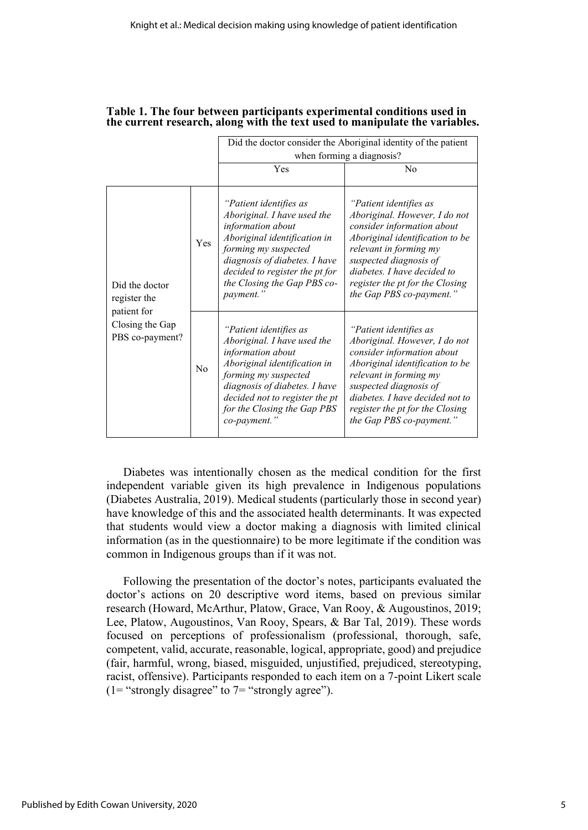|                                                                                     |     | Did the doctor consider the Aboriginal identity of the patient                                                                                                                                                                                       |                                                                                                                                                                                                                                                                                |
|-------------------------------------------------------------------------------------|-----|------------------------------------------------------------------------------------------------------------------------------------------------------------------------------------------------------------------------------------------------------|--------------------------------------------------------------------------------------------------------------------------------------------------------------------------------------------------------------------------------------------------------------------------------|
|                                                                                     |     | when forming a diagnosis?                                                                                                                                                                                                                            |                                                                                                                                                                                                                                                                                |
|                                                                                     |     | Yes                                                                                                                                                                                                                                                  | No                                                                                                                                                                                                                                                                             |
| Did the doctor<br>register the<br>patient for<br>Closing the Gap<br>PBS co-payment? | Yes | "Patient identifies as<br>Aboriginal. I have used the<br>information about<br>Aboriginal identification in<br>forming my suspected<br>diagnosis of diabetes. I have<br>decided to register the pt for<br>the Closing the Gap PBS co-<br>payment."    | "Patient identifies as<br>Aboriginal. However, I do not<br>consider information about<br>Aboriginal identification to be<br>relevant in forming my<br>suspected diagnosis of<br>diabetes. I have decided to<br>register the pt for the Closing<br>the Gap PBS co-payment."     |
|                                                                                     | No  | "Patient identifies as<br>Aboriginal. I have used the<br>information about<br>Aboriginal identification in<br>forming my suspected<br>diagnosis of diabetes. I have<br>decided not to register the pt<br>for the Closing the Gap PBS<br>co-payment." | "Patient identifies as<br>Aboriginal. However, I do not<br>consider information about<br>Aboriginal identification to be<br>relevant in forming my<br>suspected diagnosis of<br>diabetes. I have decided not to<br>register the pt for the Closing<br>the Gap PBS co-payment." |

#### **Table 1. The four between participants experimental conditions used in the current research, along with the text used to manipulate the variables.**

Diabetes was intentionally chosen as the medical condition for the first independent variable given its high prevalence in Indigenous populations (Diabetes Australia, 2019). Medical students (particularly those in second year) have knowledge of this and the associated health determinants. It was expected that students would view a doctor making a diagnosis with limited clinical information (as in the questionnaire) to be more legitimate if the condition was common in Indigenous groups than if it was not.

Following the presentation of the doctor's notes, participants evaluated the doctor's actions on 20 descriptive word items, based on previous similar research (Howard, McArthur, Platow, Grace, Van Rooy, & Augoustinos, 2019; Lee, Platow, Augoustinos, Van Rooy, Spears, & Bar Tal, 2019). These words focused on perceptions of professionalism (professional, thorough, safe, competent, valid, accurate, reasonable, logical, appropriate, good) and prejudice (fair, harmful, wrong, biased, misguided, unjustified, prejudiced, stereotyping, racist, offensive). Participants responded to each item on a 7-point Likert scale (1= "strongly disagree" to  $7 =$  "strongly agree").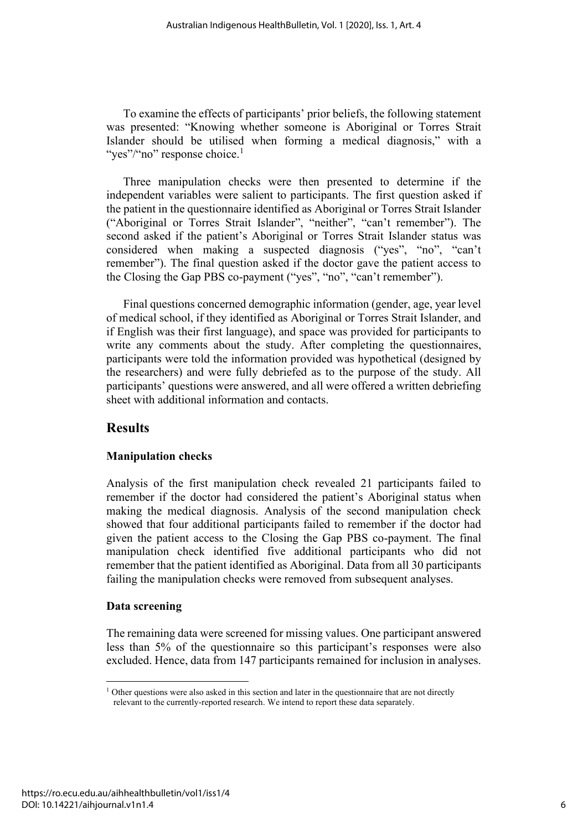To examine the effects of participants' prior beliefs, the following statement was presented: "Knowing whether someone is Aboriginal or Torres Strait Islander should be utilised when forming a medical diagnosis," with a "yes"/"no" response choice.<sup>1</sup>

Three manipulation checks were then presented to determine if the independent variables were salient to participants. The first question asked if the patient in the questionnaire identified as Aboriginal or Torres Strait Islander ("Aboriginal or Torres Strait Islander", "neither", "can't remember"). The second asked if the patient's Aboriginal or Torres Strait Islander status was considered when making a suspected diagnosis ("yes", "no", "can't remember"). The final question asked if the doctor gave the patient access to the Closing the Gap PBS co-payment ("yes", "no", "can't remember").

Final questions concerned demographic information (gender, age, year level of medical school, if they identified as Aboriginal or Torres Strait Islander, and if English was their first language), and space was provided for participants to write any comments about the study. After completing the questionnaires, participants were told the information provided was hypothetical (designed by the researchers) and were fully debriefed as to the purpose of the study. All participants' questions were answered, and all were offered a written debriefing sheet with additional information and contacts.

# **Results**

#### **Manipulation checks**

Analysis of the first manipulation check revealed 21 participants failed to remember if the doctor had considered the patient's Aboriginal status when making the medical diagnosis. Analysis of the second manipulation check showed that four additional participants failed to remember if the doctor had given the patient access to the Closing the Gap PBS co-payment. The final manipulation check identified five additional participants who did not remember that the patient identified as Aboriginal. Data from all 30 participants failing the manipulation checks were removed from subsequent analyses.

#### **Data screening**

The remaining data were screened for missing values. One participant answered less than 5% of the questionnaire so this participant's responses were also excluded. Hence, data from 147 participants remained for inclusion in analyses.

<sup>&</sup>lt;sup>1</sup> Other questions were also asked in this section and later in the questionnaire that are not directly relevant to the currently-reported research. We intend to report these data separately.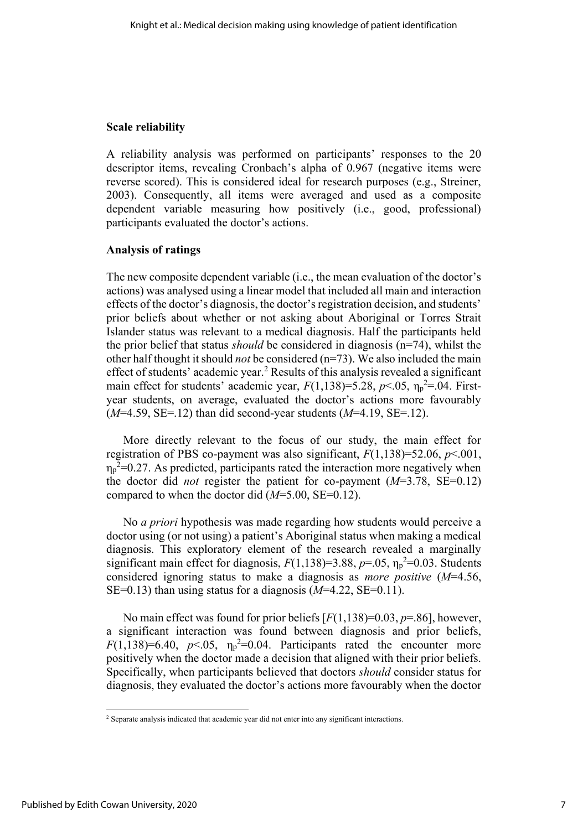#### **Scale reliability**

A reliability analysis was performed on participants' responses to the 20 descriptor items, revealing Cronbach's alpha of 0.967 (negative items were reverse scored). This is considered ideal for research purposes (e.g., Streiner, 2003). Consequently, all items were averaged and used as a composite dependent variable measuring how positively (i.e., good, professional) participants evaluated the doctor's actions.

#### **Analysis of ratings**

The new composite dependent variable (i.e., the mean evaluation of the doctor's actions) was analysed using a linear model that included all main and interaction effects of the doctor's diagnosis, the doctor's registration decision, and students' prior beliefs about whether or not asking about Aboriginal or Torres Strait Islander status was relevant to a medical diagnosis. Half the participants held the prior belief that status *should* be considered in diagnosis (n=74), whilst the other half thought it should *not* be considered (n=73). We also included the main effect of students' academic year.<sup>2</sup> Results of this analysis revealed a significant main effect for students' academic year,  $F(1,138)=5.28$ ,  $p<.05$ ,  $\eta_p^2=.04$ . Firstyear students, on average, evaluated the doctor's actions more favourably (*M*=4.59, SE=.12) than did second-year students (*M*=4.19, SE=.12).

More directly relevant to the focus of our study, the main effect for registration of PBS co-payment was also significant, *F*(1,138)=52.06, *p*<.001,  $\eta_p^2$ =0.27. As predicted, participants rated the interaction more negatively when the doctor did *not* register the patient for co-payment  $(M=3.78, SE=0.12)$ compared to when the doctor did (*M*=5.00, SE=0.12).

No *a priori* hypothesis was made regarding how students would perceive a doctor using (or not using) a patient's Aboriginal status when making a medical diagnosis. This exploratory element of the research revealed a marginally significant main effect for diagnosis,  $F(1,138)=3.88$ ,  $p=.05$ ,  $\eta_p^2=0.03$ . Students considered ignoring status to make a diagnosis as *more positive* (*M*=4.56, SE=0.13) than using status for a diagnosis (*M*=4.22, SE=0.11).

No main effect was found for prior beliefs [*F*(1,138)=0.03, *p*=.86], however, a significant interaction was found between diagnosis and prior beliefs,  $F(1,138)=6.40$ ,  $p<.05$ ,  $\eta_p^2=0.04$ . Participants rated the encounter more positively when the doctor made a decision that aligned with their prior beliefs. Specifically, when participants believed that doctors *should* consider status for diagnosis, they evaluated the doctor's actions more favourably when the doctor

<sup>&</sup>lt;sup>2</sup> Separate analysis indicated that academic year did not enter into any significant interactions.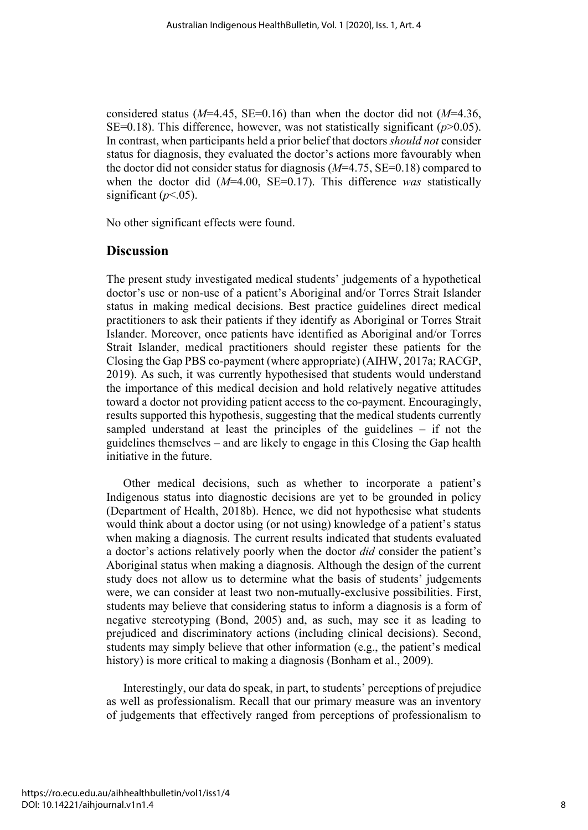considered status ( $M=4.45$ , SE=0.16) than when the doctor did not ( $M=4.36$ , SE=0.18). This difference, however, was not statistically significant  $(p>0.05)$ . In contrast, when participants held a prior belief that doctors *should not* consider status for diagnosis, they evaluated the doctor's actions more favourably when the doctor did not consider status for diagnosis (*M*=4.75, SE=0.18) compared to when the doctor did (*M*=4.00, SE=0.17). This difference *was* statistically significant  $(p<.05)$ .

No other significant effects were found.

### **Discussion**

The present study investigated medical students' judgements of a hypothetical doctor's use or non-use of a patient's Aboriginal and/or Torres Strait Islander status in making medical decisions. Best practice guidelines direct medical practitioners to ask their patients if they identify as Aboriginal or Torres Strait Islander. Moreover, once patients have identified as Aboriginal and/or Torres Strait Islander, medical practitioners should register these patients for the Closing the Gap PBS co-payment (where appropriate) (AIHW, 2017a; RACGP, 2019). As such, it was currently hypothesised that students would understand the importance of this medical decision and hold relatively negative attitudes toward a doctor not providing patient access to the co-payment. Encouragingly, results supported this hypothesis, suggesting that the medical students currently sampled understand at least the principles of the guidelines – if not the guidelines themselves – and are likely to engage in this Closing the Gap health initiative in the future.

Other medical decisions, such as whether to incorporate a patient's Indigenous status into diagnostic decisions are yet to be grounded in policy (Department of Health, 2018b). Hence, we did not hypothesise what students would think about a doctor using (or not using) knowledge of a patient's status when making a diagnosis. The current results indicated that students evaluated a doctor's actions relatively poorly when the doctor *did* consider the patient's Aboriginal status when making a diagnosis. Although the design of the current study does not allow us to determine what the basis of students' judgements were, we can consider at least two non-mutually-exclusive possibilities. First, students may believe that considering status to inform a diagnosis is a form of negative stereotyping (Bond, 2005) and, as such, may see it as leading to prejudiced and discriminatory actions (including clinical decisions). Second, students may simply believe that other information (e.g., the patient's medical history) is more critical to making a diagnosis (Bonham et al., 2009).

Interestingly, our data do speak, in part, to students' perceptions of prejudice as well as professionalism. Recall that our primary measure was an inventory of judgements that effectively ranged from perceptions of professionalism to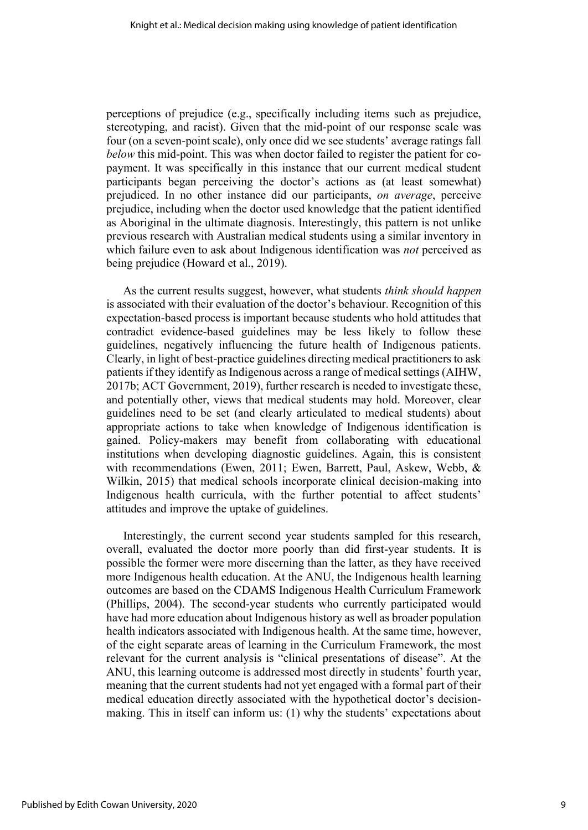perceptions of prejudice (e.g., specifically including items such as prejudice, stereotyping, and racist). Given that the mid-point of our response scale was four (on a seven-point scale), only once did we see students' average ratings fall *below* this mid-point. This was when doctor failed to register the patient for copayment. It was specifically in this instance that our current medical student participants began perceiving the doctor's actions as (at least somewhat) prejudiced. In no other instance did our participants, *on average*, perceive prejudice, including when the doctor used knowledge that the patient identified as Aboriginal in the ultimate diagnosis. Interestingly, this pattern is not unlike previous research with Australian medical students using a similar inventory in which failure even to ask about Indigenous identification was *not* perceived as being prejudice (Howard et al., 2019).

As the current results suggest, however, what students *think should happen* is associated with their evaluation of the doctor's behaviour. Recognition of this expectation-based process is important because students who hold attitudes that contradict evidence-based guidelines may be less likely to follow these guidelines, negatively influencing the future health of Indigenous patients. Clearly, in light of best-practice guidelines directing medical practitioners to ask patients if they identify as Indigenous across a range of medical settings (AIHW, 2017b; ACT Government, 2019), further research is needed to investigate these, and potentially other, views that medical students may hold. Moreover, clear guidelines need to be set (and clearly articulated to medical students) about appropriate actions to take when knowledge of Indigenous identification is gained. Policy-makers may benefit from collaborating with educational institutions when developing diagnostic guidelines. Again, this is consistent with recommendations (Ewen, 2011; Ewen, Barrett, Paul, Askew, Webb, & Wilkin, 2015) that medical schools incorporate clinical decision-making into Indigenous health curricula, with the further potential to affect students' attitudes and improve the uptake of guidelines.

Interestingly, the current second year students sampled for this research, overall, evaluated the doctor more poorly than did first-year students. It is possible the former were more discerning than the latter, as they have received more Indigenous health education. At the ANU, the Indigenous health learning outcomes are based on the CDAMS Indigenous Health Curriculum Framework (Phillips, 2004). The second-year students who currently participated would have had more education about Indigenous history as well as broader population health indicators associated with Indigenous health. At the same time, however, of the eight separate areas of learning in the Curriculum Framework, the most relevant for the current analysis is "clinical presentations of disease". At the ANU, this learning outcome is addressed most directly in students' fourth year, meaning that the current students had not yet engaged with a formal part of their medical education directly associated with the hypothetical doctor's decisionmaking. This in itself can inform us: (1) why the students' expectations about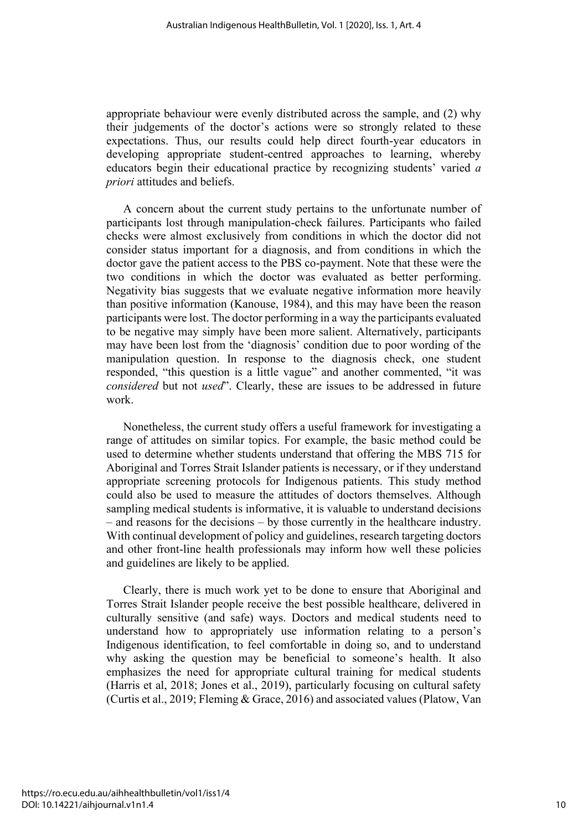appropriate behaviour were evenly distributed across the sample, and (2) why their judgements of the doctor's actions were so strongly related to these expectations. Thus, our results could help direct fourth-year educators in developing appropriate student-centred approaches to learning, whereby educators begin their educational practice by recognizing students' varied *a priori* attitudes and beliefs.

A concern about the current study pertains to the unfortunate number of participants lost through manipulation-check failures. Participants who failed checks were almost exclusively from conditions in which the doctor did not consider status important for a diagnosis, and from conditions in which the doctor gave the patient access to the PBS co-payment. Note that these were the two conditions in which the doctor was evaluated as better performing. Negativity bias suggests that we evaluate negative information more heavily than positive information (Kanouse, 1984), and this may have been the reason participants were lost. The doctor performing in a way the participants evaluated to be negative may simply have been more salient. Alternatively, participants may have been lost from the 'diagnosis' condition due to poor wording of the manipulation question. In response to the diagnosis check, one student responded, "this question is a little vague" and another commented, "it was *considered* but not *used*". Clearly, these are issues to be addressed in future work.

Nonetheless, the current study offers a useful framework for investigating a range of attitudes on similar topics. For example, the basic method could be used to determine whether students understand that offering the MBS 715 for Aboriginal and Torres Strait Islander patients is necessary, or if they understand appropriate screening protocols for Indigenous patients. This study method could also be used to measure the attitudes of doctors themselves. Although sampling medical students is informative, it is valuable to understand decisions – and reasons for the decisions – by those currently in the healthcare industry. With continual development of policy and guidelines, research targeting doctors and other front-line health professionals may inform how well these policies and guidelines are likely to be applied.

Clearly, there is much work yet to be done to ensure that Aboriginal and Torres Strait Islander people receive the best possible healthcare, delivered in culturally sensitive (and safe) ways. Doctors and medical students need to understand how to appropriately use information relating to a person's Indigenous identification, to feel comfortable in doing so, and to understand why asking the question may be beneficial to someone's health. It also emphasizes the need for appropriate cultural training for medical students (Harris et al, 2018; Jones et al., 2019), particularly focusing on cultural safety (Curtis et al., 2019; Fleming & Grace, 2016) and associated values (Platow, Van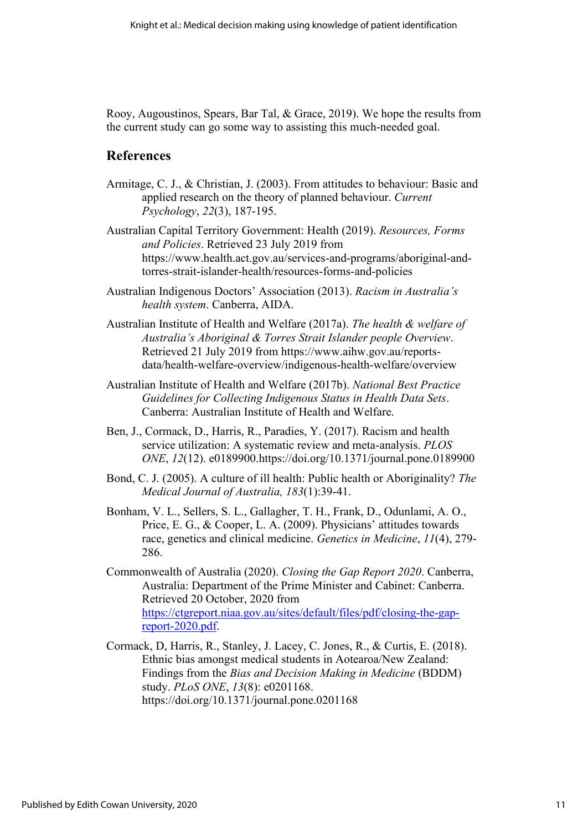Rooy, Augoustinos, Spears, Bar Tal, & Grace, 2019). We hope the results from the current study can go some way to assisting this much-needed goal.

## **References**

- Armitage, C. J., & Christian, J. (2003). From attitudes to behaviour: Basic and applied research on the theory of planned behaviour. *Current Psychology*, *22*(3), 187-195.
- Australian Capital Territory Government: Health (2019). *Resources, Forms and Policies*. Retrieved 23 July 2019 from https://www.health.act.gov.au/services-and-programs/aboriginal-andtorres-strait-islander-health/resources-forms-and-policies
- Australian Indigenous Doctors' Association (2013). *Racism in Australia's health system*. Canberra, AIDA.
- Australian Institute of Health and Welfare (2017a). *The health & welfare of Australia's Aboriginal & Torres Strait Islander people Overview*. Retrieved 21 July 2019 from https://www.aihw.gov.au/reportsdata/health-welfare-overview/indigenous-health-welfare/overview
- Australian Institute of Health and Welfare (2017b). *National Best Practice Guidelines for Collecting Indigenous Status in Health Data Sets*. Canberra: Australian Institute of Health and Welfare.
- Ben, J., Cormack, D., Harris, R., Paradies, Y. (2017). Racism and health service utilization: A systematic review and meta-analysis. *PLOS ONE*, *12*(12). e0189900.https://doi.org/10.1371/journal.pone.0189900
- Bond, C. J. (2005). A culture of ill health: Public health or Aboriginality? *The Medical Journal of Australia, 183*(1):39-41.
- Bonham, V. L., Sellers, S. L., Gallagher, T. H., Frank, D., Odunlami, A. O., Price, E. G., & Cooper, L. A. (2009). Physicians' attitudes towards race, genetics and clinical medicine. *Genetics in Medicine*, *11*(4), 279- 286.
- Commonwealth of Australia (2020). *Closing the Gap Report 2020*. Canberra, Australia: Department of the Prime Minister and Cabinet: Canberra. Retrieved 20 October, 2020 from [https://ctgreport.niaa.gov.au/sites/default/files/pdf/closing-the-gap](https://ctgreport.niaa.gov.au/sites/default/files/pdf/closing-the-gap-report-2020.pdf)[report-2020.pdf.](https://ctgreport.niaa.gov.au/sites/default/files/pdf/closing-the-gap-report-2020.pdf)
- Cormack, D, Harris, R., Stanley, J. Lacey, C. Jones, R., & Curtis, E. (2018). Ethnic bias amongst medical students in Aotearoa/New Zealand: Findings from the *Bias and Decision Making in Medicine* (BDDM) study. *PLoS ONE*, *13*(8): e0201168. https://doi.org/10.1371/journal.pone.0201168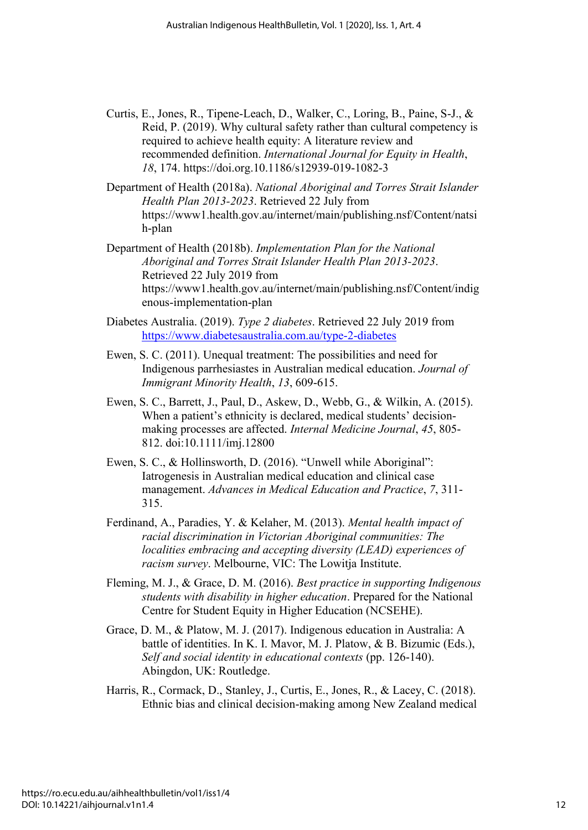- Curtis, E., Jones, R., Tipene-Leach, D., Walker, C., Loring, B., Paine, S-J., & Reid, P. (2019). Why cultural safety rather than cultural competency is required to achieve health equity: A literature review and recommended definition. *International Journal for Equity in Health*, *18*, 174. https://doi.org.10.1186/s12939-019-1082-3
- Department of Health (2018a). *National Aboriginal and Torres Strait Islander Health Plan 2013-2023*. Retrieved 22 July from https://www1.health.gov.au/internet/main/publishing.nsf/Content/natsi h-plan
- Department of Health (2018b). *Implementation Plan for the National Aboriginal and Torres Strait Islander Health Plan 2013-2023*. Retrieved 22 July 2019 from https://www1.health.gov.au/internet/main/publishing.nsf/Content/indig enous-implementation-plan
- Diabetes Australia. (2019). *Type 2 diabetes*. Retrieved 22 July 2019 from <https://www.diabetesaustralia.com.au/type-2-diabetes>
- Ewen, S. C. (2011). Unequal treatment: The possibilities and need for Indigenous parrhesiastes in Australian medical education. *Journal of Immigrant Minority Health*, *13*, 609-615.
- Ewen, S. C., Barrett, J., Paul, D., Askew, D., Webb, G., & Wilkin, A. (2015). When a patient's ethnicity is declared, medical students' decisionmaking processes are affected. *Internal Medicine Journal*, *45*, 805- 812. doi:10.1111/imj.12800
- Ewen, S. C., & Hollinsworth, D. (2016). "Unwell while Aboriginal": Iatrogenesis in Australian medical education and clinical case management. *Advances in Medical Education and Practice*, *7*, 311- 315.
- Ferdinand, A., Paradies, Y. & Kelaher, M. (2013). *Mental health impact of racial discrimination in Victorian Aboriginal communities: The localities embracing and accepting diversity (LEAD) experiences of racism survey*. Melbourne, VIC: The Lowitja Institute.
- Fleming, M. J., & Grace, D. M. (2016). *Best practice in supporting Indigenous students with disability in higher education*. Prepared for the National Centre for Student Equity in Higher Education (NCSEHE).
- Grace, D. M., & Platow, M. J. (2017). Indigenous education in Australia: A battle of identities. In K. I. Mavor, M. J. Platow, & B. Bizumic (Eds.), *Self and social identity in educational contexts* (pp. 126-140). Abingdon, UK: Routledge.
- Harris, R., Cormack, D., Stanley, J., Curtis, E., Jones, R., & Lacey, C. (2018). Ethnic bias and clinical decision-making among New Zealand medical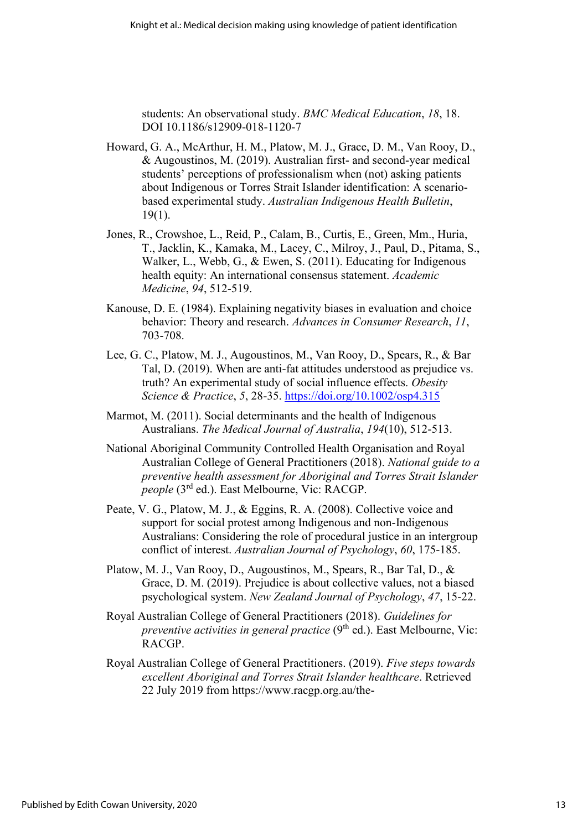students: An observational study. *BMC Medical Education*, *18*, 18. DOI 10.1186/s12909-018-1120-7

- Howard, G. A., McArthur, H. M., Platow, M. J., Grace, D. M., Van Rooy, D., & Augoustinos, M. (2019). Australian first- and second-year medical students' perceptions of professionalism when (not) asking patients about Indigenous or Torres Strait Islander identification: A scenariobased experimental study. *Australian Indigenous Health Bulletin*, 19(1).
- Jones, R., Crowshoe, L., Reid, P., Calam, B., Curtis, E., Green, Mm., Huria, T., Jacklin, K., Kamaka, M., Lacey, C., Milroy, J., Paul, D., Pitama, S., Walker, L., Webb, G., & Ewen, S. (2011). Educating for Indigenous health equity: An international consensus statement. *Academic Medicine*, *94*, 512-519.
- Kanouse, D. E. (1984). Explaining negativity biases in evaluation and choice behavior: Theory and research. *Advances in Consumer Research*, *11*, 703-708.
- Lee, G. C., Platow, M. J., Augoustinos, M., Van Rooy, D., Spears, R., & Bar Tal, D. (2019). When are anti-fat attitudes understood as prejudice vs. truth? An experimental study of social influence effects. *Obesity Science & Practice*, *5*, 28-35. https://doi.org/10.1002/osp4.315
- Marmot, M. (2011). Social determinants and the health of Indigenous Australians. *The Medical Journal of Australia*, *194*(10), 512-513.
- National Aboriginal Community Controlled Health Organisation and Royal Australian College of General Practitioners (2018). *National guide to a preventive health assessment for Aboriginal and Torres Strait Islander people* (3rd ed.). East Melbourne, Vic: RACGP.
- Peate, V. G., Platow, M. J., & Eggins, R. A. (2008). Collective voice and support for social protest among Indigenous and non-Indigenous Australians: Considering the role of procedural justice in an intergroup conflict of interest. *Australian Journal of Psychology*, *60*, 175-185.
- Platow, M. J., Van Rooy, D., Augoustinos, M., Spears, R., Bar Tal, D., & Grace, D. M. (2019). Prejudice is about collective values, not a biased psychological system. *New Zealand Journal of Psychology*, *47*, 15-22.
- Royal Australian College of General Practitioners (2018). *Guidelines for preventive activities in general practice* (9<sup>th</sup> ed.). East Melbourne, Vic: RACGP.
- Royal Australian College of General Practitioners. (2019). *Five steps towards excellent Aboriginal and Torres Strait Islander healthcare*. Retrieved 22 July 2019 from https://www.racgp.org.au/the-